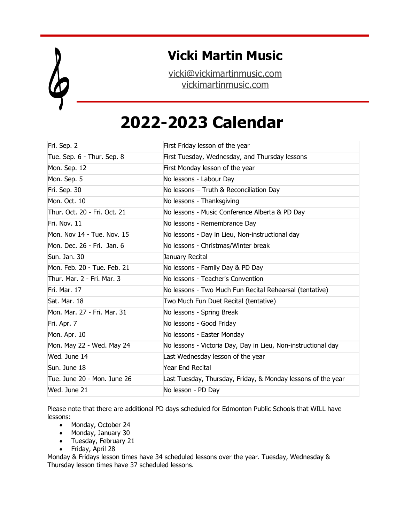

## **Vicki Martin Music**

[vicki@vickimartinmusic.com](mailto:vicki@vickimartinmusic.com) [vickimartinmusic.com](http://www.vickimartinmusic.com/)

## **2022-2023 Calendar**

| Fri. Sep. 2                  | First Friday lesson of the year                               |
|------------------------------|---------------------------------------------------------------|
| Tue. Sep. 6 - Thur. Sep. 8   | First Tuesday, Wednesday, and Thursday lessons                |
| Mon. Sep. 12                 | First Monday lesson of the year                               |
| Mon. Sep. 5                  | No lessons - Labour Day                                       |
| Fri. Sep. 30                 | No lessons - Truth & Reconciliation Day                       |
| Mon. Oct. 10                 | No lessons - Thanksgiving                                     |
| Thur. Oct. 20 - Fri. Oct. 21 | No lessons - Music Conference Alberta & PD Day                |
| Fri. Nov. 11                 | No lessons - Remembrance Day                                  |
| Mon. Nov 14 - Tue. Nov. 15   | No lessons - Day in Lieu, Non-instructional day               |
| Mon. Dec. 26 - Fri. Jan. 6   | No lessons - Christmas/Winter break                           |
| Sun. Jan. 30                 | January Recital                                               |
| Mon. Feb. 20 - Tue. Feb. 21  | No lessons - Family Day & PD Day                              |
| Thur. Mar. 2 - Fri. Mar. 3   | No lessons - Teacher's Convention                             |
| Fri. Mar. 17                 | No lessons - Two Much Fun Recital Rehearsal (tentative)       |
| Sat. Mar. 18                 | Two Much Fun Duet Recital (tentative)                         |
| Mon. Mar. 27 - Fri. Mar. 31  | No lessons - Spring Break                                     |
| Fri. Apr. 7                  | No lessons - Good Friday                                      |
| Mon. Apr. 10                 | No lessons - Easter Monday                                    |
| Mon. May 22 - Wed. May 24    | No lessons - Victoria Day, Day in Lieu, Non-instructional day |
| Wed. June 14                 | Last Wednesday lesson of the year                             |
| Sun. June 18                 | <b>Year End Recital</b>                                       |
| Tue. June 20 - Mon. June 26  | Last Tuesday, Thursday, Friday, & Monday lessons of the year  |
| Wed. June 21                 | No lesson - PD Day                                            |

Please note that there are additional PD days scheduled for Edmonton Public Schools that WILL have lessons:

- Monday, October 24
- Monday, January 30
- Tuesday, February 21
- Friday, April 28

Monday & Fridays lesson times have 34 scheduled lessons over the year. Tuesday, Wednesday & Thursday lesson times have 37 scheduled lessons.